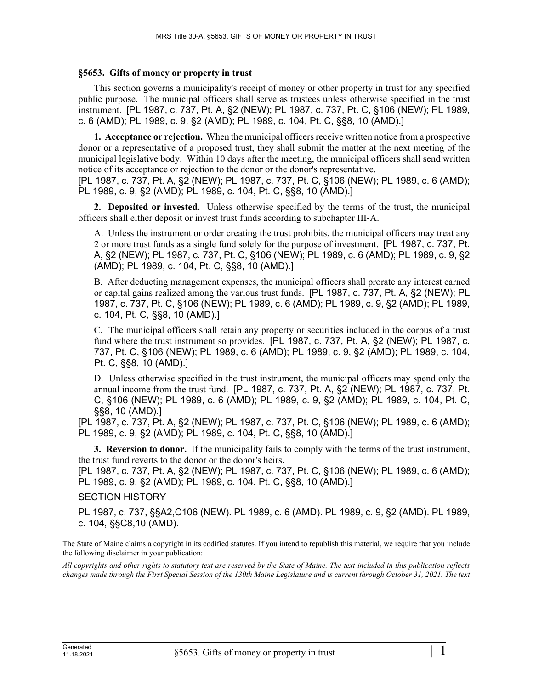## **§5653. Gifts of money or property in trust**

This section governs a municipality's receipt of money or other property in trust for any specified public purpose. The municipal officers shall serve as trustees unless otherwise specified in the trust instrument. [PL 1987, c. 737, Pt. A, §2 (NEW); PL 1987, c. 737, Pt. C, §106 (NEW); PL 1989, c. 6 (AMD); PL 1989, c. 9, §2 (AMD); PL 1989, c. 104, Pt. C, §§8, 10 (AMD).]

**1. Acceptance or rejection.** When the municipal officers receive written notice from a prospective donor or a representative of a proposed trust, they shall submit the matter at the next meeting of the municipal legislative body. Within 10 days after the meeting, the municipal officers shall send written notice of its acceptance or rejection to the donor or the donor's representative.

[PL 1987, c. 737, Pt. A, §2 (NEW); PL 1987, c. 737, Pt. C, §106 (NEW); PL 1989, c. 6 (AMD); PL 1989, c. 9, §2 (AMD); PL 1989, c. 104, Pt. C, §§8, 10 (AMD).]

**2. Deposited or invested.** Unless otherwise specified by the terms of the trust, the municipal officers shall either deposit or invest trust funds according to subchapter III‑A.

A. Unless the instrument or order creating the trust prohibits, the municipal officers may treat any 2 or more trust funds as a single fund solely for the purpose of investment. [PL 1987, c. 737, Pt. A, §2 (NEW); PL 1987, c. 737, Pt. C, §106 (NEW); PL 1989, c. 6 (AMD); PL 1989, c. 9, §2 (AMD); PL 1989, c. 104, Pt. C, §§8, 10 (AMD).]

B. After deducting management expenses, the municipal officers shall prorate any interest earned or capital gains realized among the various trust funds. [PL 1987, c. 737, Pt. A, §2 (NEW); PL 1987, c. 737, Pt. C, §106 (NEW); PL 1989, c. 6 (AMD); PL 1989, c. 9, §2 (AMD); PL 1989, c. 104, Pt. C, §§8, 10 (AMD).]

C. The municipal officers shall retain any property or securities included in the corpus of a trust fund where the trust instrument so provides. [PL 1987, c. 737, Pt. A, §2 (NEW); PL 1987, c. 737, Pt. C, §106 (NEW); PL 1989, c. 6 (AMD); PL 1989, c. 9, §2 (AMD); PL 1989, c. 104, Pt. C, §§8, 10 (AMD).]

D. Unless otherwise specified in the trust instrument, the municipal officers may spend only the annual income from the trust fund. [PL 1987, c. 737, Pt. A, §2 (NEW); PL 1987, c. 737, Pt. C, §106 (NEW); PL 1989, c. 6 (AMD); PL 1989, c. 9, §2 (AMD); PL 1989, c. 104, Pt. C, §§8, 10 (AMD).]

[PL 1987, c. 737, Pt. A, §2 (NEW); PL 1987, c. 737, Pt. C, §106 (NEW); PL 1989, c. 6 (AMD); PL 1989, c. 9, §2 (AMD); PL 1989, c. 104, Pt. C, §§8, 10 (AMD).]

**3. Reversion to donor.** If the municipality fails to comply with the terms of the trust instrument, the trust fund reverts to the donor or the donor's heirs.

[PL 1987, c. 737, Pt. A, §2 (NEW); PL 1987, c. 737, Pt. C, §106 (NEW); PL 1989, c. 6 (AMD); PL 1989, c. 9, §2 (AMD); PL 1989, c. 104, Pt. C, §§8, 10 (AMD).]

## SECTION HISTORY

PL 1987, c. 737, §§A2,C106 (NEW). PL 1989, c. 6 (AMD). PL 1989, c. 9, §2 (AMD). PL 1989, c. 104, §§C8,10 (AMD).

The State of Maine claims a copyright in its codified statutes. If you intend to republish this material, we require that you include the following disclaimer in your publication:

*All copyrights and other rights to statutory text are reserved by the State of Maine. The text included in this publication reflects changes made through the First Special Session of the 130th Maine Legislature and is current through October 31, 2021. The text*